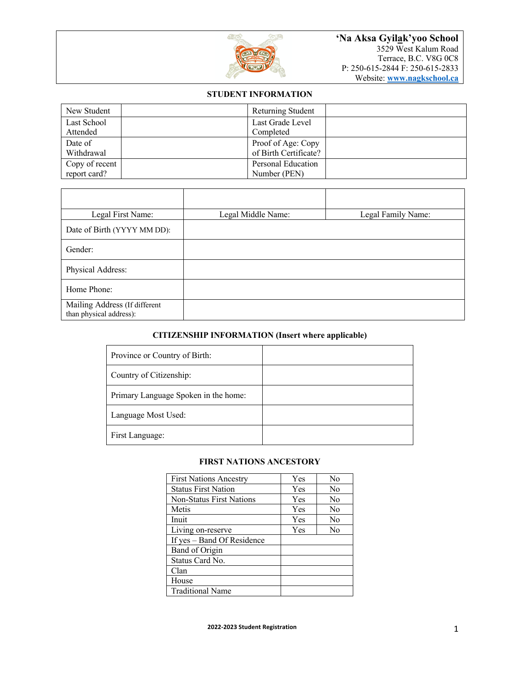

# **STUDENT INFORMATION**

| New Student    | Returning Student     |
|----------------|-----------------------|
| Last School    | Last Grade Level      |
| Attended       | Completed             |
| Date of        | Proof of Age: Copy    |
| Withdrawal     | of Birth Certificate? |
| Copy of recent | Personal Education    |
| report card?   | Number (PEN)          |

| Legal First Name:                                        | Legal Middle Name: | Legal Family Name: |
|----------------------------------------------------------|--------------------|--------------------|
| Date of Birth (YYYY MM DD):                              |                    |                    |
| Gender:                                                  |                    |                    |
| Physical Address:                                        |                    |                    |
| Home Phone:                                              |                    |                    |
| Mailing Address (If different<br>than physical address): |                    |                    |

## **CITIZENSHIP INFORMATION (Insert where applicable)**

| Province or Country of Birth:        |  |
|--------------------------------------|--|
| Country of Citizenship:              |  |
| Primary Language Spoken in the home: |  |
| Language Most Used:                  |  |
| First Language:                      |  |

### **FIRST NATIONS ANCESTORY**

| <b>First Nations Ancestry</b>   | Yes | N <sub>0</sub> |
|---------------------------------|-----|----------------|
| <b>Status First Nation</b>      | Yes | N <sub>0</sub> |
| <b>Non-Status First Nations</b> | Yes | N <sub>0</sub> |
| Metis                           | Yes | N <sub>0</sub> |
| Inuit                           | Yes | No             |
| Living on-reserve               | Yes | N <sub>0</sub> |
| If yes – Band Of Residence      |     |                |
| Band of Origin                  |     |                |
| Status Card No.                 |     |                |
| Clan                            |     |                |
| House                           |     |                |
| <b>Traditional Name</b>         |     |                |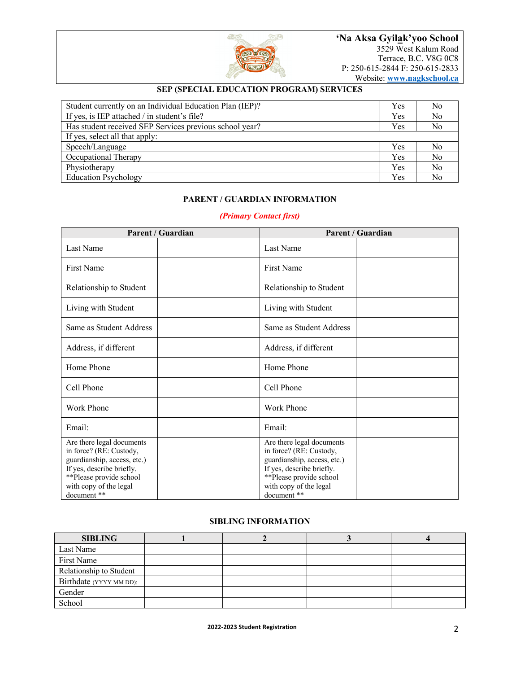

## **SEP (SPECIAL EDUCATION PROGRAM) SERVICES**

| Student currently on an Individual Education Plan (IEP)? |     | N <sub>0</sub> |
|----------------------------------------------------------|-----|----------------|
| If yes, is IEP attached / in student's file?             | Yes | N <sub>o</sub> |
| Has student received SEP Services previous school year?  | Yes | N <sub>0</sub> |
| If yes, select all that apply:                           |     |                |
| Speech/Language                                          |     | No             |
| Occupational Therapy                                     |     | N <sub>o</sub> |
| Physiotherapy                                            | Yes | N <sub>o</sub> |
| <b>Education Psychology</b>                              |     | No             |

## **PARENT / GUARDIAN INFORMATION**

## *(Primary Contact first)*

| Parent / Guardian                                                                                                                                                                    | Parent / Guardian                                                                                                                                                                    |
|--------------------------------------------------------------------------------------------------------------------------------------------------------------------------------------|--------------------------------------------------------------------------------------------------------------------------------------------------------------------------------------|
| Last Name                                                                                                                                                                            | Last Name                                                                                                                                                                            |
| <b>First Name</b>                                                                                                                                                                    | First Name                                                                                                                                                                           |
| Relationship to Student                                                                                                                                                              | Relationship to Student                                                                                                                                                              |
| Living with Student                                                                                                                                                                  | Living with Student                                                                                                                                                                  |
| Same as Student Address                                                                                                                                                              | Same as Student Address                                                                                                                                                              |
| Address, if different                                                                                                                                                                | Address, if different                                                                                                                                                                |
| Home Phone                                                                                                                                                                           | Home Phone                                                                                                                                                                           |
| Cell Phone                                                                                                                                                                           | Cell Phone                                                                                                                                                                           |
| Work Phone                                                                                                                                                                           | Work Phone                                                                                                                                                                           |
| Email:                                                                                                                                                                               | Email:                                                                                                                                                                               |
| Are there legal documents<br>in force? (RE: Custody,<br>guardianship, access, etc.)<br>If yes, describe briefly.<br>**Please provide school<br>with copy of the legal<br>document ** | Are there legal documents<br>in force? (RE: Custody,<br>guardianship, access, etc.)<br>If yes, describe briefly.<br>**Please provide school<br>with copy of the legal<br>document ** |

#### **SIBLING INFORMATION**

| <b>SIBLING</b>          |  |  |
|-------------------------|--|--|
| Last Name               |  |  |
| First Name              |  |  |
| Relationship to Student |  |  |
| Birthdate (YYYY MM DD): |  |  |
| Gender                  |  |  |
| School                  |  |  |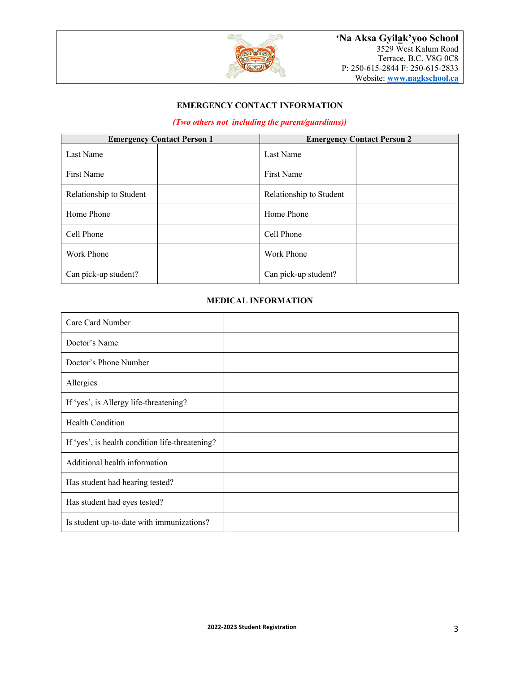

# **EMERGENCY CONTACT INFORMATION**

# *(Two others not including the parent/guardians))*

| <b>Emergency Contact Person 1</b> | <b>Emergency Contact Person 2</b> |  |
|-----------------------------------|-----------------------------------|--|
| Last Name                         | Last Name                         |  |
| First Name                        | <b>First Name</b>                 |  |
| Relationship to Student           | Relationship to Student           |  |
| Home Phone                        | Home Phone                        |  |
| Cell Phone                        | Cell Phone                        |  |
| Work Phone                        | Work Phone                        |  |
| Can pick-up student?              | Can pick-up student?              |  |

# **MEDICAL INFORMATION**

| Care Card Number                                |  |
|-------------------------------------------------|--|
| Doctor's Name                                   |  |
| Doctor's Phone Number                           |  |
| Allergies                                       |  |
| If 'yes', is Allergy life-threatening?          |  |
| Health Condition                                |  |
| If 'yes', is health condition life-threatening? |  |
| Additional health information                   |  |
| Has student had hearing tested?                 |  |
| Has student had eyes tested?                    |  |
| Is student up-to-date with immunizations?       |  |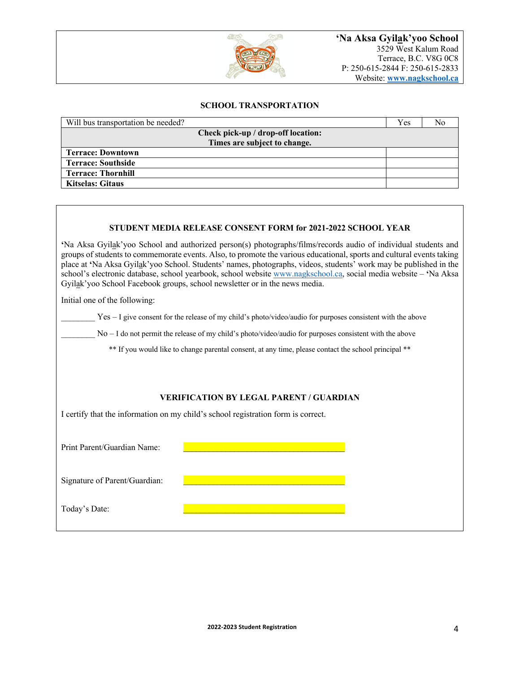

### **SCHOOL TRANSPORTATION**

| Will bus transportation be needed? | Yes | No |
|------------------------------------|-----|----|
| Check pick-up / drop-off location: |     |    |
| Times are subject to change.       |     |    |
| <b>Terrace: Downtown</b>           |     |    |
| <b>Terrace: Southside</b>          |     |    |
| <b>Terrace: Thornhill</b>          |     |    |
| <b>Kitselas: Gitaus</b>            |     |    |

#### **STUDENT MEDIA RELEASE CONSENT FORM for 2021-2022 SCHOOL YEAR**

**'**Na Aksa Gyilak'yoo School and authorized person(s) photographs/films/records audio of individual students and groups of students to commemorate events. Also, to promote the various educational, sports and cultural events taking place at **'**Na Aksa Gyilak'yoo School. Students' names, photographs, videos, students' work may be published in the school's electronic database, school yearbook, school website www.nagkschool.ca, social media website – **'**Na Aksa Gyilak'yoo School Facebook groups, school newsletter or in the news media.

Initial one of the following:

 $Yes - I$  give consent for the release of my child's photo/video/audio for purposes consistent with the above

 $No - I$  do not permit the release of my child's photo/video/audio for purposes consistent with the above

\*\* If you would like to change parental consent, at any time, please contact the school principal \*\*

### **VERIFICATION BY LEGAL PARENT / GUARDIAN**

I certify that the information on my child's school registration form is correct.

Print Parent/Guardian Name:

Signature of Parent/Guardian:

Today's Date: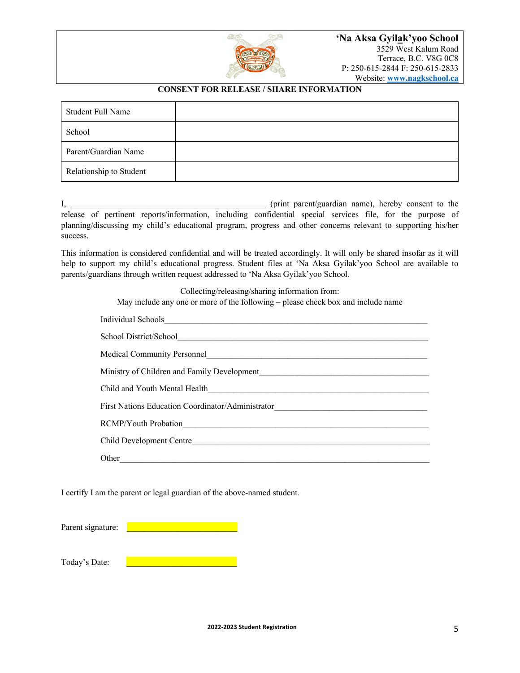

## **CONSENT FOR RELEASE / SHARE INFORMATION**

| Student Full Name       |  |
|-------------------------|--|
| School                  |  |
| Parent/Guardian Name    |  |
| Relationship to Student |  |

I, the consent of the consent of the consent of the consent of the consent of the consent to the consent to the consent to the consent to the consent to the consent to the consent to the consent of the consent of the conse release of pertinent reports/information, including confidential special services file, for the purpose of planning/discussing my child's educational program, progress and other concerns relevant to supporting his/her success.

This information is considered confidential and will be treated accordingly. It will only be shared insofar as it will help to support my child's educational progress. Student files at 'Na Aksa Gyilak'yoo School are available to parents/guardians through written request addressed to 'Na Aksa Gyilak'yoo School.

Collecting/releasing/sharing information from:

May include any one or more of the following – please check box and include name

| Individual Schools                                                                                                                                                                                                             |
|--------------------------------------------------------------------------------------------------------------------------------------------------------------------------------------------------------------------------------|
| School District/School                                                                                                                                                                                                         |
| <b>Medical Community Personnel</b><br><u> 1980 - Antonio Alemania, prima alemaniar populari e a seguida de la provincia de la provincia de la provincia</u>                                                                    |
|                                                                                                                                                                                                                                |
| Child and Youth Mental Health<br><u> 1989 - John Stein, Amerikaansk politiker (* 1958)</u>                                                                                                                                     |
| First Nations Education Coordinator/Administrator [19] [2012] [2013] [2013] [2013] [2013] [2014] [2014] [2014] [2014] [2014] [2014] [2014] [2014] [2014] [2014] [2014] [2014] [2014] [2014] [2014] [2014] [2014] [2014] [2014] |
| <b>RCMP/Youth Probation</b>                                                                                                                                                                                                    |
|                                                                                                                                                                                                                                |
| Other                                                                                                                                                                                                                          |

I certify I am the parent or legal guardian of the above-named student.

Parent signature: Today's Date: